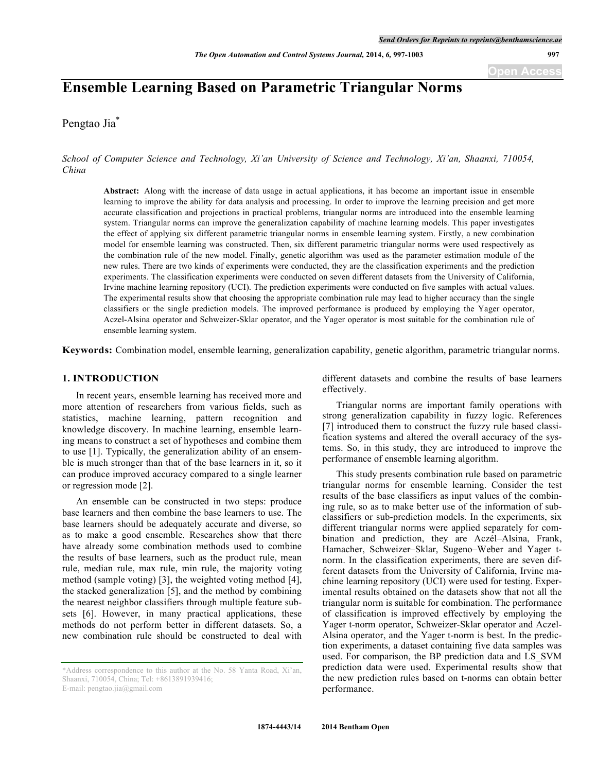# **Ensemble Learning Based on Parametric Triangular Norms**

## Pengtao Jia<sup>\*</sup>

*School of Computer Science and Technology, Xi'an University of Science and Technology, Xi'an, Shaanxi, 710054, China*

**Abstract:** Along with the increase of data usage in actual applications, it has become an important issue in ensemble learning to improve the ability for data analysis and processing. In order to improve the learning precision and get more accurate classification and projections in practical problems, triangular norms are introduced into the ensemble learning system. Triangular norms can improve the generalization capability of machine learning models. This paper investigates the effect of applying six different parametric triangular norms in ensemble learning system. Firstly, a new combination model for ensemble learning was constructed. Then, six different parametric triangular norms were used respectively as the combination rule of the new model. Finally, genetic algorithm was used as the parameter estimation module of the new rules. There are two kinds of experiments were conducted, they are the classification experiments and the prediction experiments. The classification experiments were conducted on seven different datasets from the University of California, Irvine machine learning repository (UCI). The prediction experiments were conducted on five samples with actual values. The experimental results show that choosing the appropriate combination rule may lead to higher accuracy than the single classifiers or the single prediction models. The improved performance is produced by employing the Yager operator, Aczel-Alsina operator and Schweizer-Sklar operator, and the Yager operator is most suitable for the combination rule of ensemble learning system.

**Keywords:** Combination model, ensemble learning, generalization capability, genetic algorithm, parametric triangular norms.

## **1. INTRODUCTION**

In recent years, ensemble learning has received more and more attention of researchers from various fields, such as statistics, machine learning, pattern recognition and knowledge discovery. In machine learning, ensemble learning means to construct a set of hypotheses and combine them to use [1]. Typically, the generalization ability of an ensemble is much stronger than that of the base learners in it, so it can produce improved accuracy compared to a single learner or regression mode [2].

An ensemble can be constructed in two steps: produce base learners and then combine the base learners to use. The base learners should be adequately accurate and diverse, so as to make a good ensemble. Researches show that there have already some combination methods used to combine the results of base learners, such as the product rule, mean rule, median rule, max rule, min rule, the majority voting method (sample voting) [3], the weighted voting method [4], the stacked generalization [5], and the method by combining the nearest neighbor classifiers through multiple feature subsets [6]. However, in many practical applications, these methods do not perform better in different datasets. So, a new combination rule should be constructed to deal with

E-mail: pengtao.jia@gmail.com

different datasets and combine the results of base learners effectively.

Triangular norms are important family operations with strong generalization capability in fuzzy logic. References [7] introduced them to construct the fuzzy rule based classification systems and altered the overall accuracy of the systems. So, in this study, they are introduced to improve the performance of ensemble learning algorithm.

This study presents combination rule based on parametric triangular norms for ensemble learning. Consider the test results of the base classifiers as input values of the combining rule, so as to make better use of the information of subclassifiers or sub-prediction models. In the experiments, six different triangular norms were applied separately for combination and prediction, they are Aczél–Alsina, Frank, Hamacher, Schweizer–Sklar, Sugeno–Weber and Yager tnorm. In the classification experiments, there are seven different datasets from the University of California, Irvine machine learning repository (UCI) were used for testing. Experimental results obtained on the datasets show that not all the triangular norm is suitable for combination. The performance of classification is improved effectively by employing the Yager t-norm operator, Schweizer-Sklar operator and Aczel-Alsina operator, and the Yager t-norm is best. In the prediction experiments, a dataset containing five data samples was used. For comparison, the BP prediction data and LS\_SVM prediction data were used. Experimental results show that the new prediction rules based on t-norms can obtain better performance.

<sup>\*</sup>Address correspondence to this author at the No. 58 Yanta Road, Xi'an, Shaanxi, 710054, China; Tel: +8613891939416;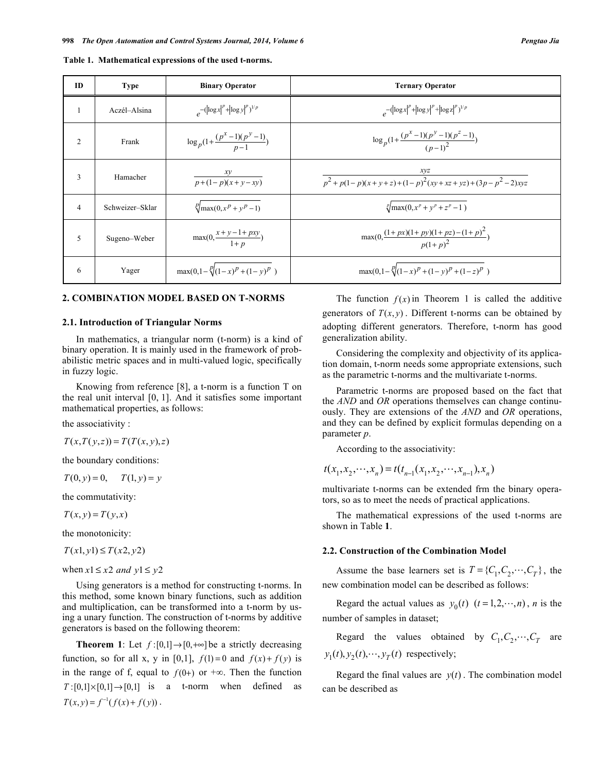| <b>ID</b>      | <b>Type</b>     | <b>Binary Operator</b>                               | <b>Ternary Operator</b>                                                                                                 |  |  |
|----------------|-----------------|------------------------------------------------------|-------------------------------------------------------------------------------------------------------------------------|--|--|
|                | Aczél-Alsina    | $e^{-\left(\log x\right)^p + \log y^p\right)^{1/p}}$ | $e^{-\left(\left(\log x\right)^p + \left(\log y\right)^p + \left(\log z\right)^p\right)^{1/p}}$                         |  |  |
| $\overline{2}$ | Frank           | $\log_p(1+\frac{(p^x-1)(p^y-1)}{p-1})$               | $\log_p(1+\frac{(p'-1)(p'-1)(p^--1)}{(p-1)^2})$                                                                         |  |  |
| 3              | Hamacher        | $\frac{xy}{p+(1-p)(x+y-xy)}$                         | $\frac{p^2 + p(1-p)(x+y+z) + (1-p)^2 (xy+xz+yz) + (3p-p^2-2)xyz}{p^2 + p(1-p)(x+y+z) + (1-p)^2 (xy+z) + (3p-p^2-2)xyz}$ |  |  |
| $\overline{4}$ | Schweizer-Sklar | $\sqrt[p]{\max(0, x^p + y^p - 1)}$                   | $\sqrt[p]{\max(0, x^p + y^p + z^p - 1)}$                                                                                |  |  |
| 5              | Sugeno-Weber    | $max(0, \frac{x+y-1+pxy}{1+p})$                      | $\max(0, \frac{(1+px)(1+py)(1+pz)-(1+p)^2}{p(1+p)^2})$                                                                  |  |  |
| 6              | Yager           | $\max(0,1-\frac{p}{q}(1-x)^p+(1-y)^p)$               | $\max(0,1-\frac{p}{q}(1-x)^p+(1-y)^p+(1-z)^p)$                                                                          |  |  |

**Table 1. Mathematical expressions of the used t-norms.**

#### **2. COMBINATION MODEL BASED ON T-NORMS**

#### **2.1. Introduction of Triangular Norms**

In mathematics, a triangular norm (t-norm) is a kind of binary operation. It is mainly used in the framework of probabilistic metric spaces and in multi-valued logic, specifically in fuzzy logic.

Knowing from reference [8], a t-norm is a function T on the real unit interval [0, 1]. And it satisfies some important mathematical properties, as follows:

the associativity :

 $T(x, T(y, z)) = T(T(x, y), z)$ 

the boundary conditions:

 $T(0, y) = 0,$   $T(1, y) = y$ 

the commutativity:

 $T(x, y) = T(y, x)$ 

the monotonicity:

 $T(x1, y1) \le T(x2, y2)$ 

when  $x1 \le x2$  *and*  $y1 \le y2$ 

Using generators is a method for constructing t-norms. In this method, some known binary functions, such as addition and multiplication, can be transformed into a t-norm by using a unary function. The construction of t-norms by additive generators is based on the following theorem:

**Theorem 1**: Let  $f:[0,1] \rightarrow [0,+\infty]$  be a strictly decreasing function, so for all x, y in [0,1],  $f(1)=0$  and  $f(x)+f(y)$  is in the range of f, equal to  $f(0+)$  or  $+\infty$ . Then the function  $T:[0,1] \times [0,1] \rightarrow [0,1]$  is a t-norm when defined as  $T(x, y) = f^{-1}(f(x) + f(y))$ .

The function  $f(x)$  in Theorem 1 is called the additive generators of  $T(x, y)$ . Different t-norms can be obtained by adopting different generators. Therefore, t-norm has good generalization ability.

Considering the complexity and objectivity of its application domain, t-norm needs some appropriate extensions, such as the parametric t-norms and the multivariate t-norms.

Parametric t-norms are proposed based on the fact that the *AND* and *OR* operations themselves can change continuously. They are extensions of the *AND* and *OR* operations, and they can be defined by explicit formulas depending on a parameter *p*.

According to the associativity:

 $t(x_1, x_2, \dots, x_n) = t(t_{n-1}(x_1, x_2, \dots, x_{n-1}), x_n)$ 

multivariate t-norms can be extended frm the binary operators, so as to meet the needs of practical applications.

The mathematical expressions of the used t-norms are shown in Table **1**.

### **2.2. Construction of the Combination Model**

Assume the base learners set is  $T = \{C_1, C_2, \dots, C_T\}$ , the new combination model can be described as follows:

Regard the actual values as  $y_0(t)$   $(t = 1, 2, \dots, n)$ , *n* is the number of samples in dataset;

Regard the values obtained by  $C_1, C_2, \dots, C_T$  are  $y_1(t), y_2(t), \cdots, y_T(t)$  respectively;

Regard the final values are  $y(t)$ . The combination model can be described as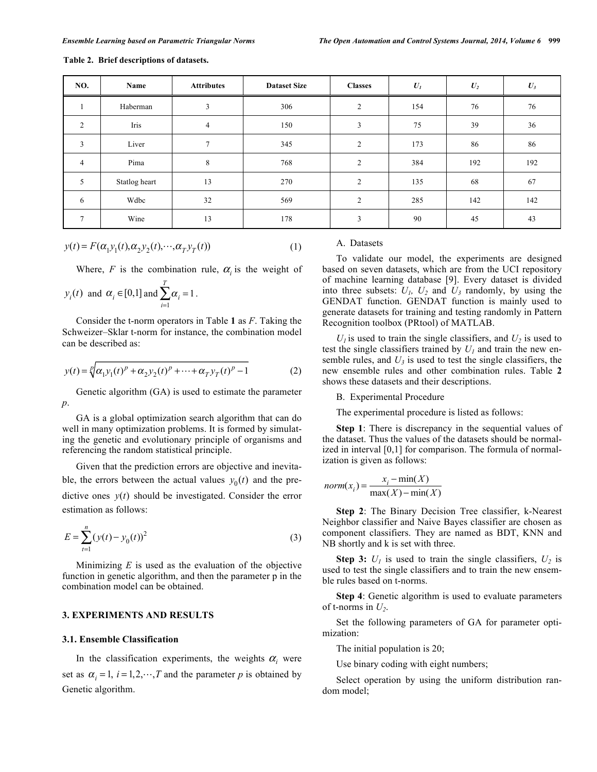| NO.            | Name          | <b>Attributes</b> | <b>Dataset Size</b> | <b>Classes</b> | $U_I$ | $U_2$ | $U_3$ |
|----------------|---------------|-------------------|---------------------|----------------|-------|-------|-------|
|                | Haberman      | 3                 | 306                 | $\overline{2}$ | 154   | 76    | 76    |
| 2              | Iris          | 4                 | 150                 | 3              | 75    | 39    | 36    |
| 3              | Liver         | $\tau$            | 345                 | $\overline{2}$ | 173   | 86    | 86    |
| $\overline{4}$ | Pima          | 8                 | 768                 | $\overline{2}$ | 384   | 192   | 192   |
| 5              | Statlog heart | 13                | 270                 | 2              | 135   | 68    | 67    |
| 6              | Wdbc          | 32                | 569                 | $\overline{2}$ | 285   | 142   | 142   |
| $\tau$         | Wine          | 13                | 178                 | 3              | 90    | 45    | 43    |

## **Table 2. Brief descriptions of datasets.**

$$
y(t) = F(\alpha_1 y_1(t), \alpha_2 y_2(t), \cdots, \alpha_T y_T(t))
$$
\n<sup>(1)</sup>

Where, *F* is the combination rule,  $\alpha_i$  is the weight of

$$
y_i(t)
$$
 and  $\alpha_i \in [0,1]$  and  $\sum_{i=1}^T \alpha_i = 1$ .

Consider the t-norm operators in Table **1** as *F*. Taking the Schweizer–Sklar t-norm for instance, the combination model can be described as:

$$
y(t) = \sqrt[p]{\alpha_1 y_1(t)^p + \alpha_2 y_2(t)^p + \dots + \alpha_T y_T(t)^p - 1}
$$
 (2)

Genetic algorithm (GA) is used to estimate the parameter *p*.

GA is a global optimization search algorithm that can do well in many optimization problems. It is formed by simulating the genetic and evolutionary principle of organisms and referencing the random statistical principle.

Given that the prediction errors are objective and inevitable, the errors between the actual values  $y_0(t)$  and the predictive ones  $y(t)$  should be investigated. Consider the error estimation as follows:

$$
E = \sum_{t=1}^{n} (y(t) - y_0(t))^2
$$
\n(3)

Minimizing *E* is used as the evaluation of the objective function in genetic algorithm, and then the parameter p in the combination model can be obtained.

## **3. EXPERIMENTS AND RESULTS**

## **3.1. Ensemble Classification**

In the classification experiments, the weights  $\alpha$ <sub>i</sub> were set as  $\alpha_i = 1$ ,  $i = 1,2,\dots,T$  and the parameter *p* is obtained by Genetic algorithm.

## A. Datasets

To validate our model, the experiments are designed based on seven datasets, which are from the UCI repository of machine learning database [9]. Every dataset is divided into three subsets:  $U_1$ ,  $U_2$  and  $U_3$  randomly, by using the GENDAT function. GENDAT function is mainly used to generate datasets for training and testing randomly in Pattern Recognition toolbox (PRtool) of MATLAB.

 $U_1$  is used to train the single classifiers, and  $U_2$  is used to test the single classifiers trained by  $U_l$  and train the new ensemble rules, and  $U_3$  is used to test the single classifiers, the new ensemble rules and other combination rules. Table **2** shows these datasets and their descriptions.

B. Experimental Procedure

The experimental procedure is listed as follows:

**Step 1**: There is discrepancy in the sequential values of the dataset. Thus the values of the datasets should be normalized in interval [0,1] for comparison. The formula of normalization is given as follows:

$$
norm(x_i) = \frac{x_i - min(X)}{max(X) - min(X)}
$$

**Step 2**: The Binary Decision Tree classifier, k-Nearest Neighbor classifier and Naive Bayes classifier are chosen as component classifiers. They are named as BDT, KNN and NB shortly and k is set with three.

**Step 3:**  $U_1$  is used to train the single classifiers,  $U_2$  is used to test the single classifiers and to train the new ensemble rules based on t-norms.

**Step 4**: Genetic algorithm is used to evaluate parameters of t-norms in  $U_2$ .

Set the following parameters of GA for parameter optimization:

The initial population is 20;

Use binary coding with eight numbers;

Select operation by using the uniform distribution random model;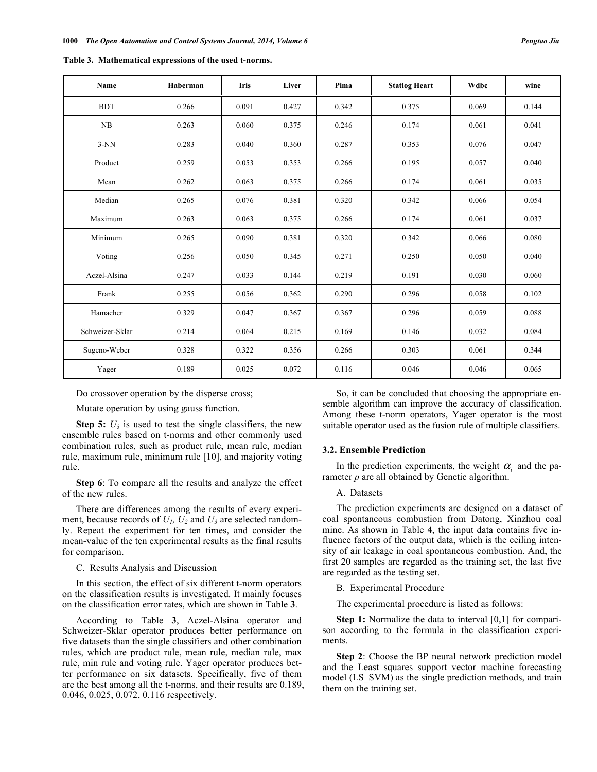| Name            | Haberman | <b>Iris</b> | Liver | Pima  | <b>Statlog Heart</b> | Wdbc  | wine  |
|-----------------|----------|-------------|-------|-------|----------------------|-------|-------|
| <b>BDT</b>      | 0.266    | 0.091       | 0.427 | 0.342 | 0.375                | 0.069 | 0.144 |
| NB              | 0.263    | 0.060       | 0.375 | 0.246 | 0.174                | 0.061 | 0.041 |
| $3-NN$          | 0.283    | 0.040       | 0.360 | 0.287 | 0.353                | 0.076 | 0.047 |
| Product         | 0.259    | 0.053       | 0.353 | 0.266 | 0.195                | 0.057 | 0.040 |
| Mean            | 0.262    | 0.063       | 0.375 | 0.266 | 0.174                | 0.061 | 0.035 |
| Median          | 0.265    | 0.076       | 0.381 | 0.320 | 0.342                | 0.066 | 0.054 |
| Maximum         | 0.263    | 0.063       | 0.375 | 0.266 | 0.174                | 0.061 | 0.037 |
| Minimum         | 0.265    | 0.090       | 0.381 | 0.320 | 0.342                | 0.066 | 0.080 |
| Voting          | 0.256    | 0.050       | 0.345 | 0.271 | 0.250                | 0.050 | 0.040 |
| Aczel-Alsina    | 0.247    | 0.033       | 0.144 | 0.219 | 0.191                | 0.030 | 0.060 |
| Frank           | 0.255    | 0.056       | 0.362 | 0.290 | 0.296                | 0.058 | 0.102 |
| Hamacher        | 0.329    | 0.047       | 0.367 | 0.367 | 0.296                | 0.059 | 0.088 |
| Schweizer-Sklar | 0.214    | 0.064       | 0.215 | 0.169 | 0.146                | 0.032 | 0.084 |
| Sugeno-Weber    | 0.328    | 0.322       | 0.356 | 0.266 | 0.303                | 0.061 | 0.344 |
| Yager           | 0.189    | 0.025       | 0.072 | 0.116 | 0.046                | 0.046 | 0.065 |

**Table 3. Mathematical expressions of the used t-norms.**

Do crossover operation by the disperse cross;

Mutate operation by using gauss function.

**Step 5:**  $U_3$  is used to test the single classifiers, the new ensemble rules based on t-norms and other commonly used combination rules, such as product rule, mean rule, median rule, maximum rule, minimum rule [10], and majority voting rule.

**Step 6**: To compare all the results and analyze the effect of the new rules.

There are differences among the results of every experiment, because records of  $U_1$ ,  $U_2$  and  $U_3$  are selected randomly. Repeat the experiment for ten times, and consider the mean-value of the ten experimental results as the final results for comparison.

C. Results Analysis and Discussion

In this section, the effect of six different t-norm operators on the classification results is investigated. It mainly focuses on the classification error rates, which are shown in Table **3**.

According to Table **3**, Aczel-Alsina operator and Schweizer-Sklar operator produces better performance on five datasets than the single classifiers and other combination rules, which are product rule, mean rule, median rule, max rule, min rule and voting rule. Yager operator produces better performance on six datasets. Specifically, five of them are the best among all the t-norms, and their results are 0.189, 0.046, 0.025, 0.072, 0.116 respectively.

So, it can be concluded that choosing the appropriate ensemble algorithm can improve the accuracy of classification. Among these t-norm operators, Yager operator is the most suitable operator used as the fusion rule of multiple classifiers.

#### **3.2. Ensemble Prediction**

In the prediction experiments, the weight  $\alpha_i$  and the parameter *p* are all obtained by Genetic algorithm.

#### A. Datasets

The prediction experiments are designed on a dataset of coal spontaneous combustion from Datong, Xinzhou coal mine. As shown in Table **4**, the input data contains five influence factors of the output data, which is the ceiling intensity of air leakage in coal spontaneous combustion. And, the first 20 samples are regarded as the training set, the last five are regarded as the testing set.

B. Experimental Procedure

The experimental procedure is listed as follows:

**Step 1:** Normalize the data to interval [0,1] for comparison according to the formula in the classification experiments.

**Step 2**: Choose the BP neural network prediction model and the Least squares support vector machine forecasting model (LS SVM) as the single prediction methods, and train them on the training set.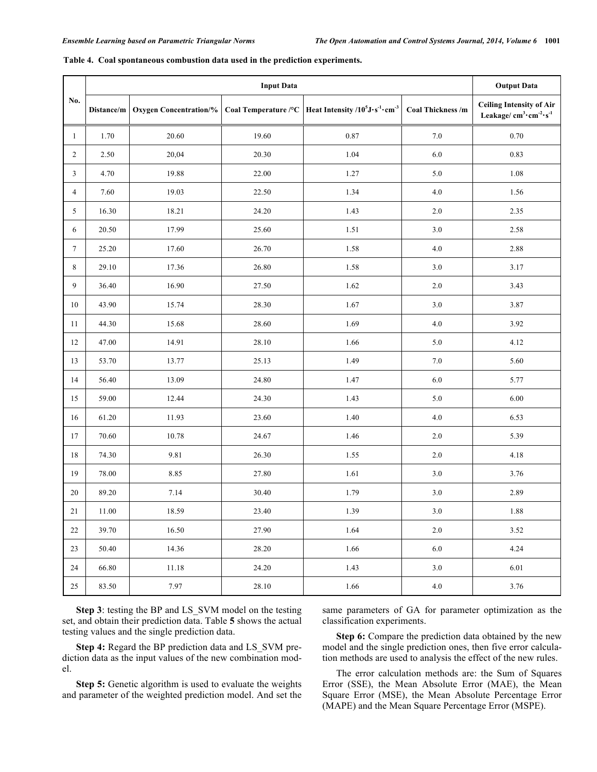|                |            | <b>Output Data</b>            |                      |                                                            |                   |                                                                                   |
|----------------|------------|-------------------------------|----------------------|------------------------------------------------------------|-------------------|-----------------------------------------------------------------------------------|
| No.            | Distance/m | <b>Oxygen Concentration/%</b> | Coal Temperature /°C | Heat Intensity $/10^5$ J·s <sup>-1</sup> ·cm <sup>-3</sup> | Coal Thickness /m | <b>Ceiling Intensity of Air</b><br>Leakage/ $\rm cm^3 \cdot cm^{-2} \cdot s^{-1}$ |
| 1              | 1.70       | 20.60                         | 19.60                | 0.87                                                       | $7.0\,$           | 0.70                                                                              |
| $\sqrt{2}$     | 2.50       | 20,04                         | 20.30                | 1.04                                                       | 6.0               | 0.83                                                                              |
| $\mathfrak{Z}$ | 4.70       | 19.88                         | 22.00                | 1.27                                                       | $5.0\,$           | 1.08                                                                              |
| $\overline{4}$ | 7.60       | 19.03                         | 22.50                | 1.34                                                       | $4.0$             | 1.56                                                                              |
| 5              | 16.30      | 18.21                         | 24.20                | 1.43                                                       | $2.0\,$           | 2.35                                                                              |
| 6              | 20.50      | 17.99                         | 25.60                | 1.51                                                       | $3.0$             | 2.58                                                                              |
| $\tau$         | 25.20      | 17.60                         | 26.70                | 1.58                                                       | $4.0\,$           | 2.88                                                                              |
| 8              | 29.10      | 17.36                         | 26.80                | 1.58                                                       | 3.0               | 3.17                                                                              |
| 9              | 36.40      | 16.90                         | 27.50                | 1.62                                                       | 2.0               | 3.43                                                                              |
| $10\,$         | 43.90      | 15.74                         | 28.30                | 1.67                                                       | $3.0\,$           | 3.87                                                                              |
| 11             | 44.30      | 15.68                         | 28.60                | 1.69                                                       | $4.0\,$           | 3.92                                                                              |
| 12             | 47.00      | 14.91                         | 28.10                | 1.66                                                       | 5.0               | 4.12                                                                              |
| 13             | 53.70      | 13.77                         | 25.13                | 1.49                                                       | $7.0\,$           | 5.60                                                                              |
| 14             | 56.40      | 13.09                         | 24.80                | 1.47                                                       | 6.0               | 5.77                                                                              |
| 15             | 59.00      | 12.44                         | 24.30                | 1.43                                                       | $5.0\,$           | 6.00                                                                              |
| 16             | 61.20      | 11.93                         | 23.60                | 1.40                                                       | $4.0\,$           | 6.53                                                                              |
| 17             | 70.60      | 10.78                         | 24.67                | 1.46                                                       | $2.0\,$           | 5.39                                                                              |
| 18             | 74.30      | 9.81                          | 26.30                | 1.55                                                       | $2.0\,$           | 4.18                                                                              |
| 19             | 78.00      | 8.85                          | 27.80                | 1.61                                                       | $3.0\,$           | 3.76                                                                              |
| 20             | 89.20      | 7.14                          | 30.40                | 1.79                                                       | $3.0\,$           | 2.89                                                                              |
| 21             | $11.00\,$  | 18.59                         | 23.40                | 1.39                                                       | $3.0\,$           | 1.88                                                                              |
| 22             | 39.70      | 16.50                         | 27.90                | 1.64                                                       | $2.0\,$           | 3.52                                                                              |
| 23             | 50.40      | 14.36                         | 28.20                | 1.66                                                       | $6.0\,$           | 4.24                                                                              |
| 24             | 66.80      | 11.18                         | 24.20                | 1.43                                                       | 3.0               | 6.01                                                                              |
| 25             | 83.50      | 7.97                          | 28.10                | 1.66                                                       | $4.0\,$           | 3.76                                                                              |

**Table 4. Coal spontaneous combustion data used in the prediction experiments.**

**Step 3**: testing the BP and LS\_SVM model on the testing set, and obtain their prediction data. Table **5** shows the actual testing values and the single prediction data.

**Step 4:** Regard the BP prediction data and LS\_SVM prediction data as the input values of the new combination model.

**Step 5:** Genetic algorithm is used to evaluate the weights and parameter of the weighted prediction model. And set the same parameters of GA for parameter optimization as the classification experiments.

**Step 6:** Compare the prediction data obtained by the new model and the single prediction ones, then five error calculation methods are used to analysis the effect of the new rules.

The error calculation methods are: the Sum of Squares Error (SSE), the Mean Absolute Error (MAE), the Mean Square Error (MSE), the Mean Absolute Percentage Error (MAPE) and the Mean Square Percentage Error (MSPE).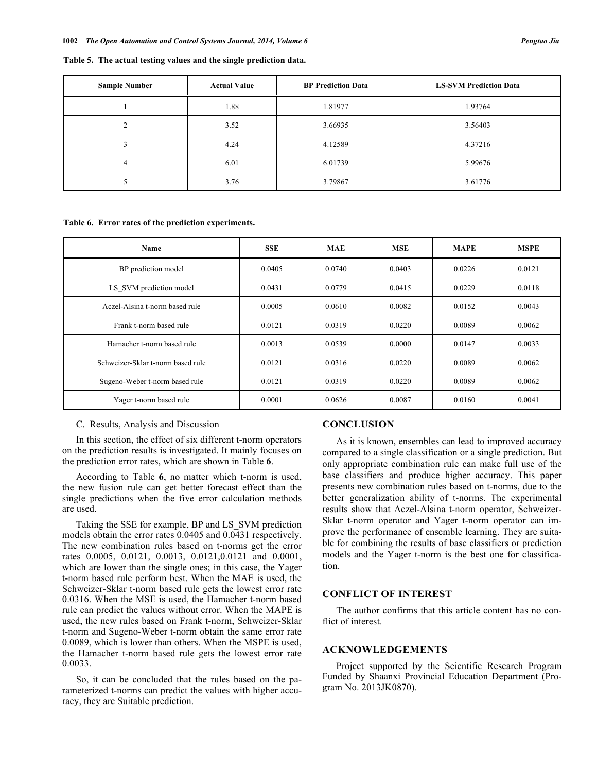| <b>Sample Number</b> | <b>Actual Value</b> | <b>BP</b> Prediction Data | <b>LS-SVM Prediction Data</b> |
|----------------------|---------------------|---------------------------|-------------------------------|
|                      | 1.88                | 1.81977                   | 1.93764                       |
|                      | 3.52                | 3.66935                   | 3.56403                       |
|                      | 4.24                | 4.12589                   | 4.37216                       |
| 4                    | 6.01                | 6.01739                   | 5.99676                       |
|                      | 3.76                | 3.79867                   | 3.61776                       |

**Table 5. The actual testing values and the single prediction data.**

**Table 6. Error rates of the prediction experiments.**

| Name                              | <b>SSE</b> | <b>MAE</b> | <b>MSE</b> | <b>MAPE</b> | <b>MSPE</b> |
|-----------------------------------|------------|------------|------------|-------------|-------------|
| BP prediction model               | 0.0405     | 0.0740     | 0.0403     | 0.0226      | 0.0121      |
| LS SVM prediction model           | 0.0431     | 0.0779     | 0.0415     | 0.0229      | 0.0118      |
| Aczel-Alsina t-norm based rule    | 0.0005     | 0.0610     | 0.0082     | 0.0152      | 0.0043      |
| Frank t-norm based rule           | 0.0121     | 0.0319     | 0.0220     | 0.0089      | 0.0062      |
| Hamacher t-norm based rule        | 0.0013     | 0.0539     | 0.0000     | 0.0147      | 0.0033      |
| Schweizer-Sklar t-norm based rule | 0.0121     | 0.0316     | 0.0220     | 0.0089      | 0.0062      |
| Sugeno-Weber t-norm based rule    | 0.0121     | 0.0319     | 0.0220     | 0.0089      | 0.0062      |
| Yager t-norm based rule           | 0.0001     | 0.0626     | 0.0087     | 0.0160      | 0.0041      |

#### C. Results, Analysis and Discussion

In this section, the effect of six different t-norm operators on the prediction results is investigated. It mainly focuses on the prediction error rates, which are shown in Table **6**.

According to Table **6**, no matter which t-norm is used, the new fusion rule can get better forecast effect than the single predictions when the five error calculation methods are used.

Taking the SSE for example, BP and LS\_SVM prediction models obtain the error rates 0.0405 and 0.0431 respectively. The new combination rules based on t-norms get the error rates 0.0005, 0.0121, 0.0013, 0.0121,0.0121 and 0.0001, which are lower than the single ones; in this case, the Yager t-norm based rule perform best. When the MAE is used, the Schweizer-Sklar t-norm based rule gets the lowest error rate 0.0316. When the MSE is used, the Hamacher t-norm based rule can predict the values without error. When the MAPE is used, the new rules based on Frank t-norm, Schweizer-Sklar t-norm and Sugeno-Weber t-norm obtain the same error rate 0.0089, which is lower than others. When the MSPE is used, the Hamacher t-norm based rule gets the lowest error rate 0.0033.

So, it can be concluded that the rules based on the parameterized t-norms can predict the values with higher accuracy, they are Suitable prediction.

## **CONCLUSION**

As it is known, ensembles can lead to improved accuracy compared to a single classification or a single prediction. But only appropriate combination rule can make full use of the base classifiers and produce higher accuracy. This paper presents new combination rules based on t-norms, due to the better generalization ability of t-norms. The experimental results show that Aczel-Alsina t-norm operator, Schweizer-Sklar t-norm operator and Yager t-norm operator can improve the performance of ensemble learning. They are suitable for combining the results of base classifiers or prediction models and the Yager t-norm is the best one for classification.

#### **CONFLICT OF INTEREST**

The author confirms that this article content has no conflict of interest.

## **ACKNOWLEDGEMENTS**

Project supported by the Scientific Research Program Funded by Shaanxi Provincial Education Department (Program No. 2013JK0870).